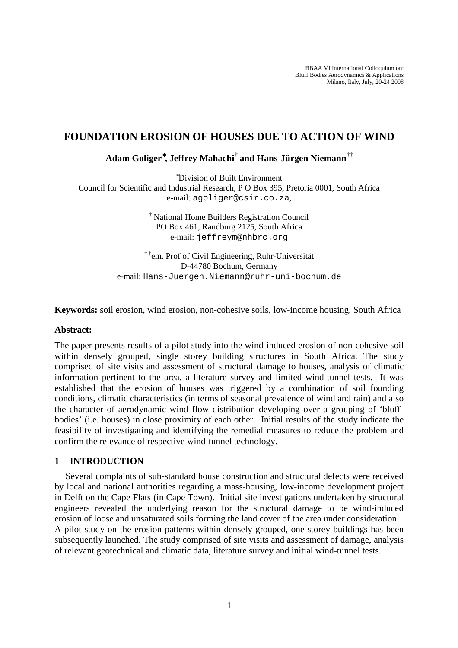BBAA VI International Colloquium on: Bluff Bodies Aerodynamics & Applications Milano, Italy, July, 20-24 2008

## **FOUNDATION EROSION OF HOUSES DUE TO ACTION OF WIND**

**Adam Goliger**<sup>∗</sup>**, Jeffrey Mahachi† and Hans-Jürgen Niemann††**

<sup>∗</sup>Division of Built Environment

Council for Scientific and Industrial Research, P O Box 395, Pretoria 0001, South Africa e-mail: agoliger@csir.co.za,

> † National Home Builders Registration Council PO Box 461, Randburg 2125, South Africa e-mail: jeffreym@nhbrc.org

† †em. Prof of Civil Engineering, Ruhr-Universität D-44780 Bochum, Germany e-mail: Hans-Juergen.Niemann@ruhr-uni-bochum.de

**Keywords:** soil erosion, wind erosion, non-cohesive soils, low-income housing, South Africa

#### **Abstract:**

The paper presents results of a pilot study into the wind-induced erosion of non-cohesive soil within densely grouped, single storey building structures in South Africa. The study comprised of site visits and assessment of structural damage to houses, analysis of climatic information pertinent to the area, a literature survey and limited wind-tunnel tests. It was established that the erosion of houses was triggered by a combination of soil founding conditions, climatic characteristics (in terms of seasonal prevalence of wind and rain) and also the character of aerodynamic wind flow distribution developing over a grouping of 'bluffbodies' (i.e. houses) in close proximity of each other. Initial results of the study indicate the feasibility of investigating and identifying the remedial measures to reduce the problem and confirm the relevance of respective wind-tunnel technology.

#### **1 INTRODUCTION**

Several complaints of sub-standard house construction and structural defects were received by local and national authorities regarding a mass-housing, low-income development project in Delft on the Cape Flats (in Cape Town). Initial site investigations undertaken by structural engineers revealed the underlying reason for the structural damage to be wind-induced erosion of loose and unsaturated soils forming the land cover of the area under consideration. A pilot study on the erosion patterns within densely grouped, one-storey buildings has been subsequently launched. The study comprised of site visits and assessment of damage, analysis of relevant geotechnical and climatic data, literature survey and initial wind-tunnel tests.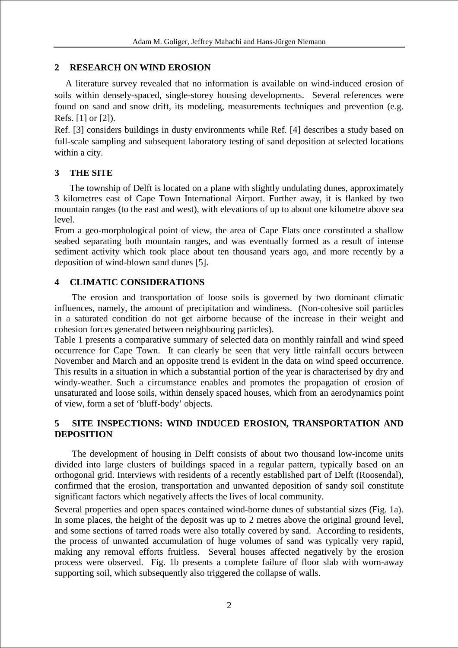## **2 RESEARCH ON WIND EROSION**

A literature survey revealed that no information is available on wind-induced erosion of soils within densely-spaced, single-storey housing developments. Several references were found on sand and snow drift, its modeling, measurements techniques and prevention (e.g. Refs. [1] or [2]).

Ref. [3] considers buildings in dusty environments while Ref. [4] describes a study based on full-scale sampling and subsequent laboratory testing of sand deposition at selected locations within a city.

# **3 THE SITE**

The township of Delft is located on a plane with slightly undulating dunes, approximately 3 kilometres east of Cape Town International Airport. Further away, it is flanked by two mountain ranges (to the east and west), with elevations of up to about one kilometre above sea level.

From a geo-morphological point of view, the area of Cape Flats once constituted a shallow seabed separating both mountain ranges, and was eventually formed as a result of intense sediment activity which took place about ten thousand years ago, and more recently by a deposition of wind-blown sand dunes [5].

# **4 CLIMATIC CONSIDERATIONS**

The erosion and transportation of loose soils is governed by two dominant climatic influences, namely, the amount of precipitation and windiness. (Non-cohesive soil particles in a saturated condition do not get airborne because of the increase in their weight and cohesion forces generated between neighbouring particles).

Table 1 presents a comparative summary of selected data on monthly rainfall and wind speed occurrence for Cape Town. It can clearly be seen that very little rainfall occurs between November and March and an opposite trend is evident in the data on wind speed occurrence. This results in a situation in which a substantial portion of the year is characterised by dry and windy-weather. Such a circumstance enables and promotes the propagation of erosion of unsaturated and loose soils, within densely spaced houses, which from an aerodynamics point of view, form a set of 'bluff-body' objects.

## **5 SITE INSPECTIONS: WIND INDUCED EROSION, TRANSPORTATION AND DEPOSITION**

The development of housing in Delft consists of about two thousand low-income units divided into large clusters of buildings spaced in a regular pattern, typically based on an orthogonal grid. Interviews with residents of a recently established part of Delft (Roosendal), confirmed that the erosion, transportation and unwanted deposition of sandy soil constitute significant factors which negatively affects the lives of local community.

Several properties and open spaces contained wind-borne dunes of substantial sizes (Fig. 1a). In some places, the height of the deposit was up to 2 metres above the original ground level, and some sections of tarred roads were also totally covered by sand. According to residents, the process of unwanted accumulation of huge volumes of sand was typically very rapid, making any removal efforts fruitless. Several houses affected negatively by the erosion process were observed. Fig. 1b presents a complete failure of floor slab with worn-away supporting soil, which subsequently also triggered the collapse of walls.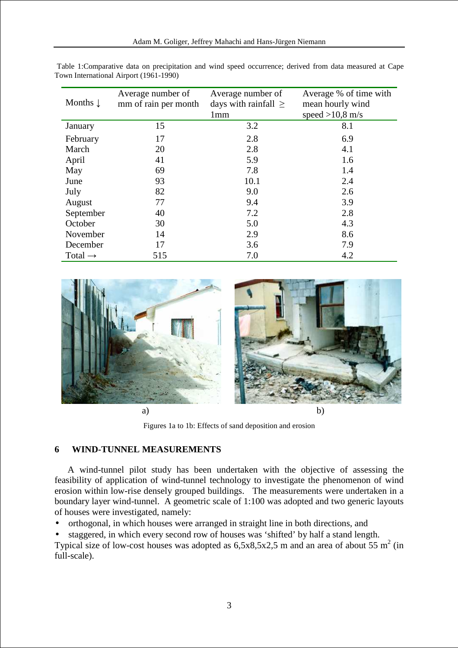| Months $\downarrow$ | Average number of<br>mm of rain per month | Average number of<br>days with rainfall $\geq$ | Average % of time with<br>mean hourly wind |
|---------------------|-------------------------------------------|------------------------------------------------|--------------------------------------------|
|                     |                                           | 1mm                                            | speed $>10,8$ m/s                          |
| January             | 15                                        | 3.2                                            | 8.1                                        |
| February            | 17                                        | 2.8                                            | 6.9                                        |
| March               | 20                                        | 2.8                                            | 4.1                                        |
| April               | 41                                        | 5.9                                            | 1.6                                        |
| May                 | 69                                        | 7.8                                            | 1.4                                        |
| June                | 93                                        | 10.1                                           | 2.4                                        |
| July                | 82                                        | 9.0                                            | 2.6                                        |
| August              | 77                                        | 9.4                                            | 3.9                                        |
| September           | 40                                        | 7.2                                            | 2.8                                        |
| October             | 30                                        | 5.0                                            | 4.3                                        |
| November            | 14                                        | 2.9                                            | 8.6                                        |
| December            | 17                                        | 3.6                                            | 7.9                                        |
| Total $\rightarrow$ | 515                                       | 7.0                                            | 4.2                                        |

Table 1:Comparative data on precipitation and wind speed occurrence; derived from data measured at Cape Town International Airport (1961-1990)



Figures 1a to 1b: Effects of sand deposition and erosion

#### **6 WIND-TUNNEL MEASUREMENTS**

A wind-tunnel pilot study has been undertaken with the objective of assessing the feasibility of application of wind-tunnel technology to investigate the phenomenon of wind erosion within low-rise densely grouped buildings. The measurements were undertaken in a boundary layer wind-tunnel. A geometric scale of 1:100 was adopted and two generic layouts of houses were investigated, namely:

• orthogonal, in which houses were arranged in straight line in both directions, and

• staggered, in which every second row of houses was 'shifted' by half a stand length. Typical size of low-cost houses was adopted as  $6,5x8,5x2,5$  m and an area of about 55 m<sup>2</sup> (in full-scale).